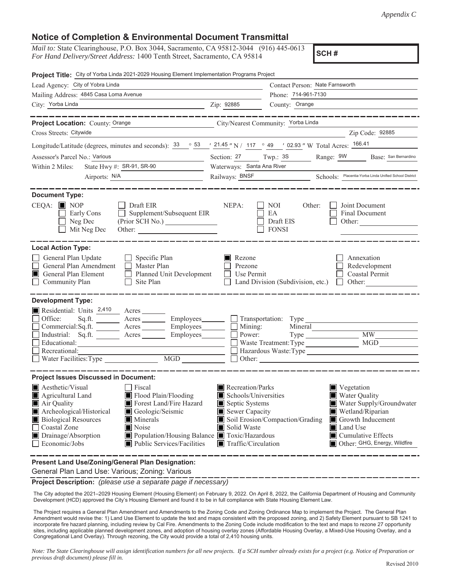## **Notice of Completion & Environmental Document Transmittal**

*Mail to:* State Clearinghouse, P.O. Box 3044, Sacramento, CA 95812-3044 (916) 445-0613 *For Hand Delivery/Street Address:* 1400 Tenth Street, Sacramento, CA 95814

**SCH #**

| Project Title: City of Yorba Linda 2021-2029 Housing Element Implementation Programs Project                                                                                                                                                                                                                                                                                            |                                                                                                                                                                                                                                                                                                                                                                                                    |  |  |  |  |
|-----------------------------------------------------------------------------------------------------------------------------------------------------------------------------------------------------------------------------------------------------------------------------------------------------------------------------------------------------------------------------------------|----------------------------------------------------------------------------------------------------------------------------------------------------------------------------------------------------------------------------------------------------------------------------------------------------------------------------------------------------------------------------------------------------|--|--|--|--|
| Lead Agency: City of Yobra Linda                                                                                                                                                                                                                                                                                                                                                        | Contact Person: Nate Farnsworth                                                                                                                                                                                                                                                                                                                                                                    |  |  |  |  |
| Mailing Address: 4845 Casa Loma Avenue                                                                                                                                                                                                                                                                                                                                                  | Phone: 714-961-7130                                                                                                                                                                                                                                                                                                                                                                                |  |  |  |  |
| City: Yorba Linda<br><u> 1989 - Johann Barn, mars and de Branch Barn, mars and de Branch Barn, mars and de Branch Barn, mars and de Br</u>                                                                                                                                                                                                                                              | Zip: 92885<br>County: Orange                                                                                                                                                                                                                                                                                                                                                                       |  |  |  |  |
| ___________                                                                                                                                                                                                                                                                                                                                                                             | -----------------                                                                                                                                                                                                                                                                                                                                                                                  |  |  |  |  |
| <b>Project Location: County: Orange</b>                                                                                                                                                                                                                                                                                                                                                 | City/Nearest Community: Yorba Linda                                                                                                                                                                                                                                                                                                                                                                |  |  |  |  |
| Cross Streets: Citywide                                                                                                                                                                                                                                                                                                                                                                 | Zip Code: 92885                                                                                                                                                                                                                                                                                                                                                                                    |  |  |  |  |
|                                                                                                                                                                                                                                                                                                                                                                                         | Longitude/Latitude (degrees, minutes and seconds): $\frac{33}{53}$ $\frac{53}{7}$ $\frac{21.45}{7}$ N / 117 $\degree$ 49 $\degree$ 02.93 $\degree$ W Total Acres: $\frac{166.41}{7}$                                                                                                                                                                                                               |  |  |  |  |
| Assessor's Parcel No.: Various<br><u> 1989 - Johann Barbara, martin a</u>                                                                                                                                                                                                                                                                                                               | Section: 27 Twp.: 38 Range: 9W Base: San Bernardino                                                                                                                                                                                                                                                                                                                                                |  |  |  |  |
| State Hwy #: SR-91, SR-90<br>Within 2 Miles:                                                                                                                                                                                                                                                                                                                                            | Waterways: Santa Ana River                                                                                                                                                                                                                                                                                                                                                                         |  |  |  |  |
| Airports: <u>N/A</u>                                                                                                                                                                                                                                                                                                                                                                    | Railways: BNSF Schools: Placentia-Yorba Linda Unified School District                                                                                                                                                                                                                                                                                                                              |  |  |  |  |
|                                                                                                                                                                                                                                                                                                                                                                                         |                                                                                                                                                                                                                                                                                                                                                                                                    |  |  |  |  |
| <b>Document Type:</b><br>$CEQA: \blacksquare$ NOP<br>Draft EIR<br>Supplement/Subsequent EIR<br>Early Cons<br>Neg Dec<br>Mit Neg Dec<br>Other:                                                                                                                                                                                                                                           | NEPA:<br>NOI<br>Other:<br>Joint Document<br>EA<br>Final Document<br>Draft EIS<br>Other:<br><b>FONSI</b>                                                                                                                                                                                                                                                                                            |  |  |  |  |
| <b>Local Action Type:</b><br>General Plan Update<br>$\Box$ Specific Plan<br>General Plan Amendment<br>$\Box$ Master Plan<br>General Plan Element<br>Planned Unit Development<br>Community Plan<br>Site Plan<br>$\perp$                                                                                                                                                                  | Rezone<br>Annexation<br>Prezone<br>Redevelopment<br>Use Permit<br>Coastal Permit<br>$\perp$<br>Land Division (Subdivision, etc.)<br>Other:<br>$\perp$                                                                                                                                                                                                                                              |  |  |  |  |
| <b>Development Type:</b><br>Residential: Units 2,410 Acres<br>Office:<br>$Commercial:Sq.fit.$ $Aeres$ $Employes$ $\Box$ Mining:<br>Industrial: Sq.ft. _______ Acres _______ Employees ______ $\Box$<br>Educational:<br>Recreational:                                                                                                                                                    | $Sq.ft.$ Acres Employees Transportation: Type<br>Mineral<br>Power:<br><b>MW</b><br>Waste Treatment: Type                                                                                                                                                                                                                                                                                           |  |  |  |  |
| <b>Project Issues Discussed in Document:</b>                                                                                                                                                                                                                                                                                                                                            |                                                                                                                                                                                                                                                                                                                                                                                                    |  |  |  |  |
| Aesthetic/Visual<br>Fiscal<br>Flood Plain/Flooding<br>Agricultural Land<br>Forest Land/Fire Hazard<br>Air Quality<br>Archeological/Historical<br>Geologic/Seismic<br><b>Biological Resources</b><br>Minerals<br>Coastal Zone<br>$\blacksquare$ Noise<br>Drainage/Absorption<br>Population/Housing Balance Toxic/Hazardous<br>Economic/Jobs<br>$\blacksquare$ Public Services/Facilities | Recreation/Parks<br>$\blacksquare$ Vegetation<br>Schools/Universities<br><b>Water Quality</b><br>Water Supply/Groundwater<br>Septic Systems<br>Sewer Capacity<br>Wetland/Riparian<br>Soil Erosion/Compaction/Grading<br>Growth Inducement<br>Solid Waste<br><b>I</b> Land Use<br>$\blacksquare$ Cumulative Effects<br>Other: GHG, Energy, Wildfire<br>$\blacksquare$ Traffic/Circulation<br>______ |  |  |  |  |
| Present Land Use/Zoning/General Plan Designation:                                                                                                                                                                                                                                                                                                                                       |                                                                                                                                                                                                                                                                                                                                                                                                    |  |  |  |  |

General Plan Land Use: Various; Zoning: Various

**Project Description:** *(please use a separate page if necessary)*

 The City adopted the 2021–2029 Housing Element (Housing Element) on February 9, 2022. On April 8, 2022, the California Department of Housing and Community Development (HCD) approved the City's Housing Element and found it to be in full compliance with State Housing Element Law.

The Project requires a General Plan Amendment and Amendments to the Zoning Code and Zoning Ordinance Map to implement the Project. The General Plan Amendment would revise the: 1) Land Use Element to update the text and maps consistent with the proposed zoning, and 2) Safety Element pursuant to SB 1241 to incorporate fire hazard planning, including review by Cal Fire. Amendments to the Zoning Code include modification to the text and maps to rezone 27 opportunity sites, including applicable planned development zones, and adoption of housing overlay zones (Affordable Housing Overlay, a Mixed-Use Housing Overlay, and a Congregational Land Overlay). Through rezoning, the City would provide a total of 2,410 housing units.

*Note: The State Clearinghouse will assign identification numbers for all new projects. If a SCH number already exists for a project (e.g. Notice of Preparation or previous draft document) please fill in.*